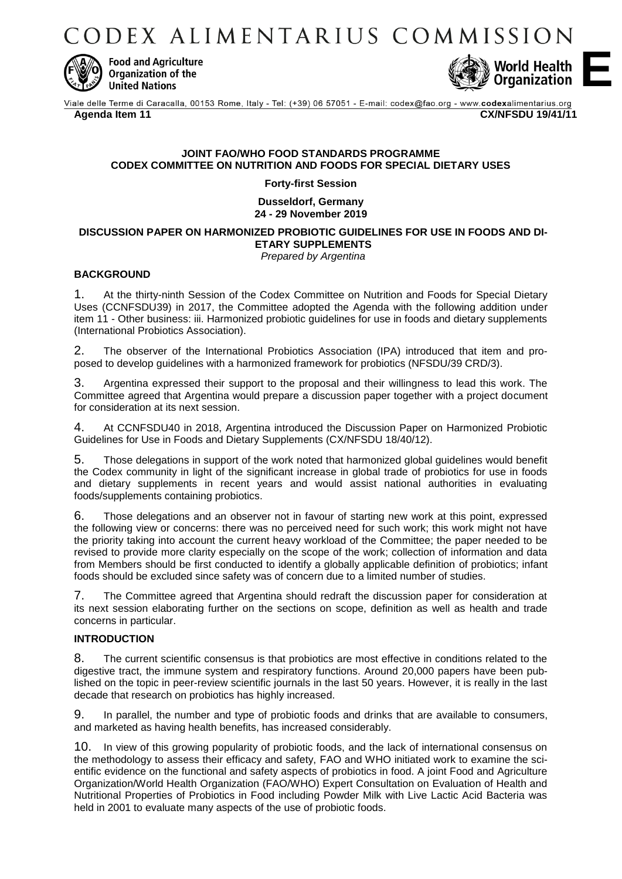ODEX ALIMENTARIUS COMMISSION



**Food and Agriculture Organization of the United Nations** 



Viale delle Terme di Caracalla, 00153 Rome, Italy - Tel: (+39) 06 57051 - E-mail: codex@fao.org - www.codexalimentarius.org **Agenda Item 11 CX/NFSDU 19/41/11**

## **JOINT FAO/WHO FOOD STANDARDS PROGRAMME CODEX COMMITTEE ON NUTRITION AND FOODS FOR SPECIAL DIETARY USES**

**Forty-first Session**

**Dusseldorf, Germany 24 - 29 November 2019**

**DISCUSSION PAPER ON HARMONIZED PROBIOTIC GUIDELINES FOR USE IN FOODS AND DI-ETARY SUPPLEMENTS**

*Prepared by Argentina*

### **BACKGROUND**

1. At the thirty-ninth Session of the Codex Committee on Nutrition and Foods for Special Dietary Uses (CCNFSDU39) in 2017, the Committee adopted the Agenda with the following addition under item 11 - Other business: iii. Harmonized probiotic guidelines for use in foods and dietary supplements (International Probiotics Association).

2. The observer of the International Probiotics Association (IPA) introduced that item and proposed to develop guidelines with a harmonized framework for probiotics (NFSDU/39 CRD/3).

3. Argentina expressed their support to the proposal and their willingness to lead this work. The Committee agreed that Argentina would prepare a discussion paper together with a project document for consideration at its next session.

4. At CCNFSDU40 in 2018, Argentina introduced the Discussion Paper on Harmonized Probiotic Guidelines for Use in Foods and Dietary Supplements (CX/NFSDU 18/40/12).

5. Those delegations in support of the work noted that harmonized global guidelines would benefit the Codex community in light of the significant increase in global trade of probiotics for use in foods and dietary supplements in recent years and would assist national authorities in evaluating foods/supplements containing probiotics.

6. Those delegations and an observer not in favour of starting new work at this point, expressed the following view or concerns: there was no perceived need for such work; this work might not have the priority taking into account the current heavy workload of the Committee; the paper needed to be revised to provide more clarity especially on the scope of the work; collection of information and data from Members should be first conducted to identify a globally applicable definition of probiotics; infant foods should be excluded since safety was of concern due to a limited number of studies.

7. The Committee agreed that Argentina should redraft the discussion paper for consideration at its next session elaborating further on the sections on scope, definition as well as health and trade concerns in particular.

### **INTRODUCTION**

8. The current scientific consensus is that probiotics are most effective in conditions related to the digestive tract, the immune system and respiratory functions. Around 20,000 papers have been published on the topic in peer-review scientific journals in the last 50 years. However, it is really in the last decade that research on probiotics has highly increased.

9. In parallel, the number and type of probiotic foods and drinks that are available to consumers, and marketed as having health benefits, has increased considerably.

10. In view of this growing popularity of probiotic foods, and the lack of international consensus on the methodology to assess their efficacy and safety, FAO and WHO initiated work to examine the scientific evidence on the functional and safety aspects of probiotics in food. A joint Food and Agriculture Organization/World Health Organization (FAO/WHO) Expert Consultation on Evaluation of Health and Nutritional Properties of Probiotics in Food including Powder Milk with Live Lactic Acid Bacteria was held in 2001 to evaluate many aspects of the use of probiotic foods.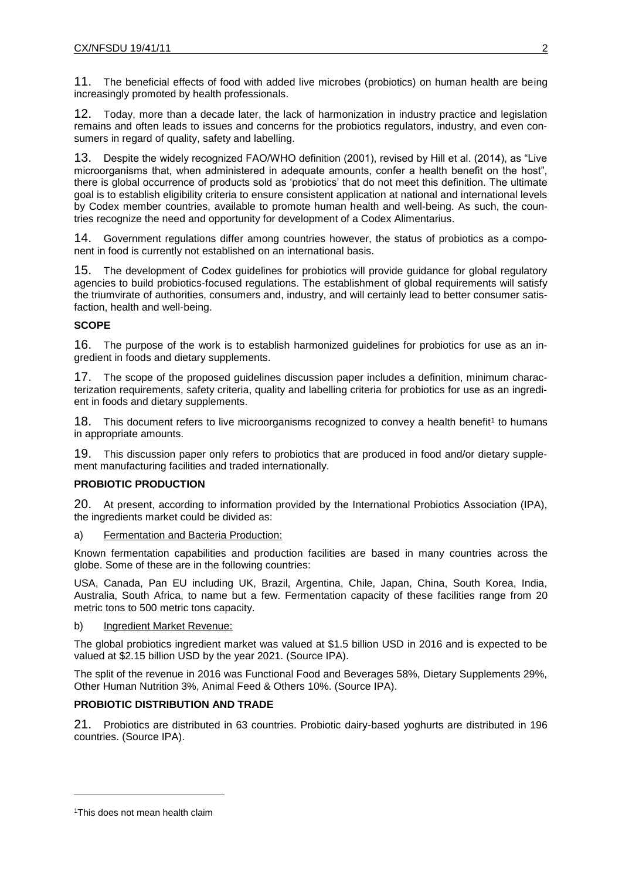11. The beneficial effects of food with added live microbes (probiotics) on human health are being increasingly promoted by health professionals.

12. Today, more than a decade later, the lack of harmonization in industry practice and legislation remains and often leads to issues and concerns for the probiotics regulators, industry, and even consumers in regard of quality, safety and labelling.

13. Despite the widely recognized FAO/WHO definition (2001), revised by Hill et al. (2014), as "Live microorganisms that, when administered in adequate amounts, confer a health benefit on the host", there is global occurrence of products sold as 'probiotics' that do not meet this definition. The ultimate goal is to establish eligibility criteria to ensure consistent application at national and international levels by Codex member countries, available to promote human health and well-being. As such, the countries recognize the need and opportunity for development of a Codex Alimentarius.

14. Government regulations differ among countries however, the status of probiotics as a component in food is currently not established on an international basis.

15. The development of Codex guidelines for probiotics will provide guidance for global regulatory agencies to build probiotics-focused regulations. The establishment of global requirements will satisfy the triumvirate of authorities, consumers and, industry, and will certainly lead to better consumer satisfaction, health and well-being.

## **SCOPE**

16. The purpose of the work is to establish harmonized guidelines for probiotics for use as an ingredient in foods and dietary supplements.

17. The scope of the proposed guidelines discussion paper includes a definition, minimum characterization requirements, safety criteria, quality and labelling criteria for probiotics for use as an ingredient in foods and dietary supplements.

18. This document refers to live microorganisms recognized to convey a health benefit<sup>1</sup> to humans in appropriate amounts.

19. This discussion paper only refers to probiotics that are produced in food and/or dietary supplement manufacturing facilities and traded internationally.

## **PROBIOTIC PRODUCTION**

20. At present, according to information provided by the International Probiotics Association (IPA), the ingredients market could be divided as:

a) Fermentation and Bacteria Production:

Known fermentation capabilities and production facilities are based in many countries across the globe. Some of these are in the following countries:

USA, Canada, Pan EU including UK, Brazil, Argentina, Chile, Japan, China, South Korea, India, Australia, South Africa, to name but a few. Fermentation capacity of these facilities range from 20 metric tons to 500 metric tons capacity.

## b) Ingredient Market Revenue:

The global probiotics ingredient market was valued at \$1.5 billion USD in 2016 and is expected to be valued at \$2.15 billion USD by the year 2021. (Source IPA).

The split of the revenue in 2016 was Functional Food and Beverages 58%, Dietary Supplements 29%, Other Human Nutrition 3%, Animal Feed & Others 10%. (Source IPA).

## **PROBIOTIC DISTRIBUTION AND TRADE**

21. Probiotics are distributed in 63 countries. Probiotic dairy-based yoghurts are distributed in 196 countries. (Source IPA).

 $\overline{a}$ 

<sup>1</sup>This does not mean health claim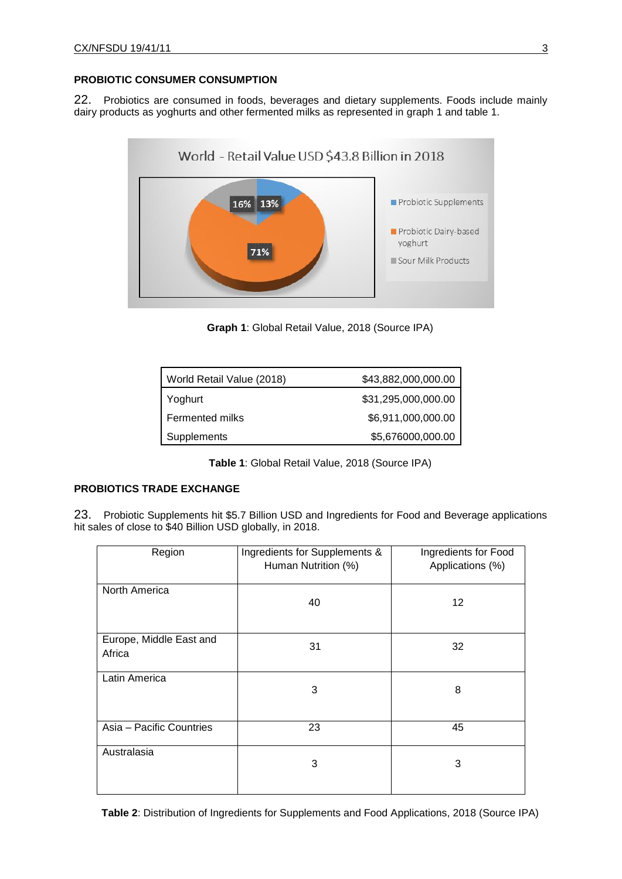### **PROBIOTIC CONSUMER CONSUMPTION**

22. Probiotics are consumed in foods, beverages and dietary supplements. Foods include mainly dairy products as yoghurts and other fermented milks as represented in graph 1 and table 1.



**Graph 1**: Global Retail Value, 2018 (Source IPA)

| World Retail Value (2018) | \$43,882,000,000.00 |
|---------------------------|---------------------|
| Yoghurt                   | \$31,295,000,000.00 |
| Fermented milks           | \$6,911,000,000.00  |
| Supplements               | \$5,676000,000.00   |

**Table 1**: Global Retail Value, 2018 (Source IPA)

## **PROBIOTICS TRADE EXCHANGE**

23. Probiotic Supplements hit \$5.7 Billion USD and Ingredients for Food and Beverage applications hit sales of close to \$40 Billion USD globally, in 2018.

| Region                            | Ingredients for Supplements &<br>Human Nutrition (%) | Ingredients for Food<br>Applications (%) |
|-----------------------------------|------------------------------------------------------|------------------------------------------|
| North America                     | 40                                                   | 12                                       |
| Europe, Middle East and<br>Africa | 31                                                   | 32                                       |
| Latin America                     | 3                                                    | 8                                        |
| Asia - Pacific Countries          | 23                                                   | 45                                       |
| Australasia                       | 3                                                    | 3                                        |

**Table 2**: Distribution of Ingredients for Supplements and Food Applications, 2018 (Source IPA)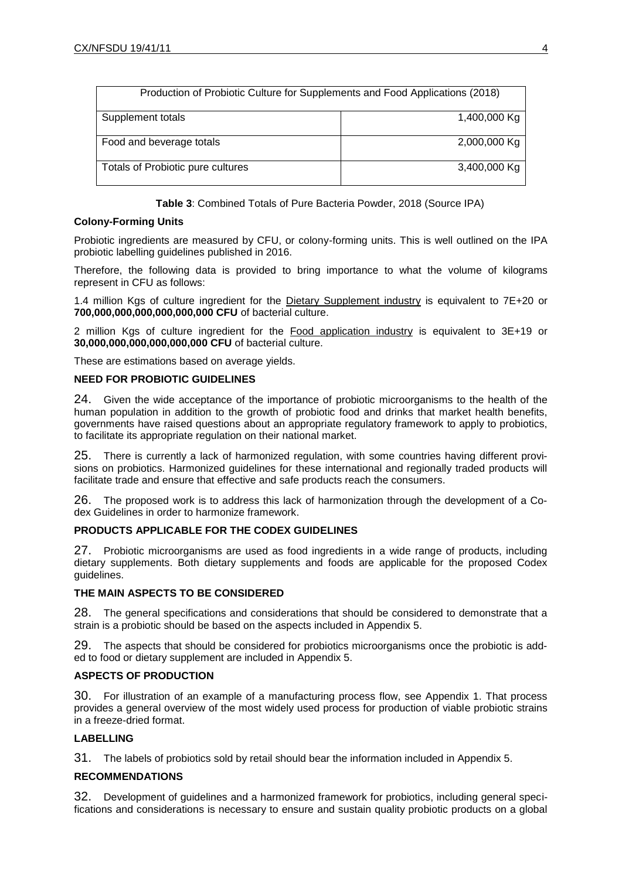| Production of Probiotic Culture for Supplements and Food Applications (2018) |              |
|------------------------------------------------------------------------------|--------------|
| Supplement totals                                                            | 1,400,000 Kg |
| Food and beverage totals                                                     | 2,000,000 Kg |
| Totals of Probiotic pure cultures                                            | 3,400,000 Kg |

**Table 3**: Combined Totals of Pure Bacteria Powder, 2018 (Source IPA)

## **Colony-Forming Units**

Probiotic ingredients are measured by CFU, or colony-forming units. This is well outlined on the IPA probiotic labelling guidelines published in 2016.

Therefore, the following data is provided to bring importance to what the volume of kilograms represent in CFU as follows:

1.4 million Kgs of culture ingredient for the Dietary Supplement industry is equivalent to 7E+20 or **700,000,000,000,000,000,000 CFU** of bacterial culture.

2 million Kgs of culture ingredient for the Food application industry is equivalent to 3E+19 or **30,000,000,000,000,000,000 CFU** of bacterial culture.

These are estimations based on average yields.

### **NEED FOR PROBIOTIC GUIDELINES**

24. Given the wide acceptance of the importance of probiotic microorganisms to the health of the human population in addition to the growth of probiotic food and drinks that market health benefits, governments have raised questions about an appropriate regulatory framework to apply to probiotics, to facilitate its appropriate regulation on their national market.

25. There is currently a lack of harmonized regulation, with some countries having different provisions on probiotics. Harmonized guidelines for these international and regionally traded products will facilitate trade and ensure that effective and safe products reach the consumers.

26. The proposed work is to address this lack of harmonization through the development of a Codex Guidelines in order to harmonize framework.

## **PRODUCTS APPLICABLE FOR THE CODEX GUIDELINES**

27. Probiotic microorganisms are used as food ingredients in a wide range of products, including dietary supplements. Both dietary supplements and foods are applicable for the proposed Codex guidelines.

## **THE MAIN ASPECTS TO BE CONSIDERED**

28. The general specifications and considerations that should be considered to demonstrate that a strain is a probiotic should be based on the aspects included in Appendix 5.

29. The aspects that should be considered for probiotics microorganisms once the probiotic is added to food or dietary supplement are included in Appendix 5.

## **ASPECTS OF PRODUCTION**

30. For illustration of an example of a manufacturing process flow, see Appendix 1. That process provides a general overview of the most widely used process for production of viable probiotic strains in a freeze-dried format.

## **LABELLING**

31. The labels of probiotics sold by retail should bear the information included in Appendix 5.

## **RECOMMENDATIONS**

32. Development of guidelines and a harmonized framework for probiotics, including general specifications and considerations is necessary to ensure and sustain quality probiotic products on a global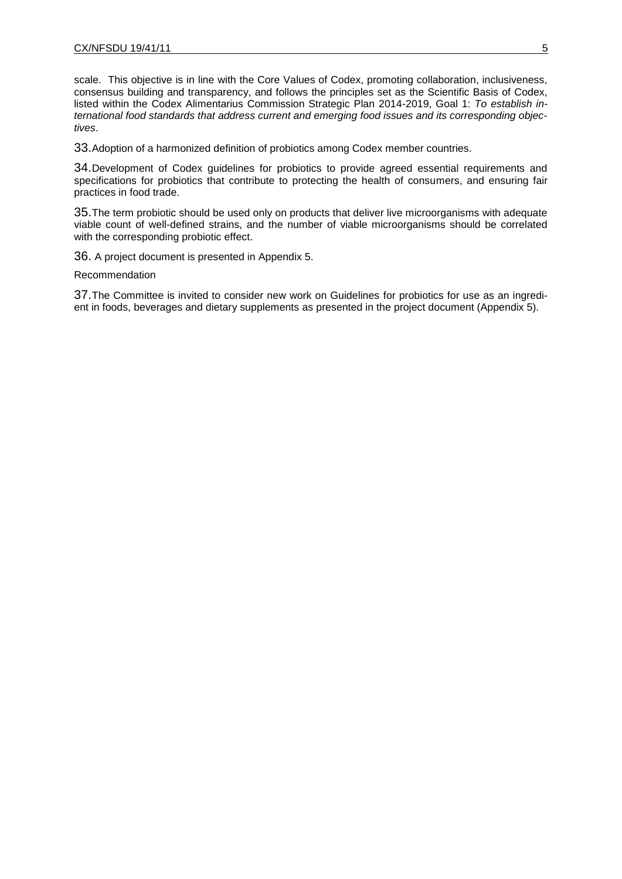scale. This objective is in line with the Core Values of Codex, promoting collaboration, inclusiveness, consensus building and transparency, and follows the principles set as the Scientific Basis of Codex, listed within the Codex Alimentarius Commission Strategic Plan 2014-2019, Goal 1: *To establish international food standards that address current and emerging food issues and its corresponding objectives*.

33.Adoption of a harmonized definition of probiotics among Codex member countries.

34.Development of Codex guidelines for probiotics to provide agreed essential requirements and specifications for probiotics that contribute to protecting the health of consumers, and ensuring fair practices in food trade.

35.The term probiotic should be used only on products that deliver live microorganisms with adequate viable count of well-defined strains, and the number of viable microorganisms should be correlated with the corresponding probiotic effect.

36. A project document is presented in Appendix 5.

Recommendation

37.The Committee is invited to consider new work on Guidelines for probiotics for use as an ingredient in foods, beverages and dietary supplements as presented in the project document (Appendix 5).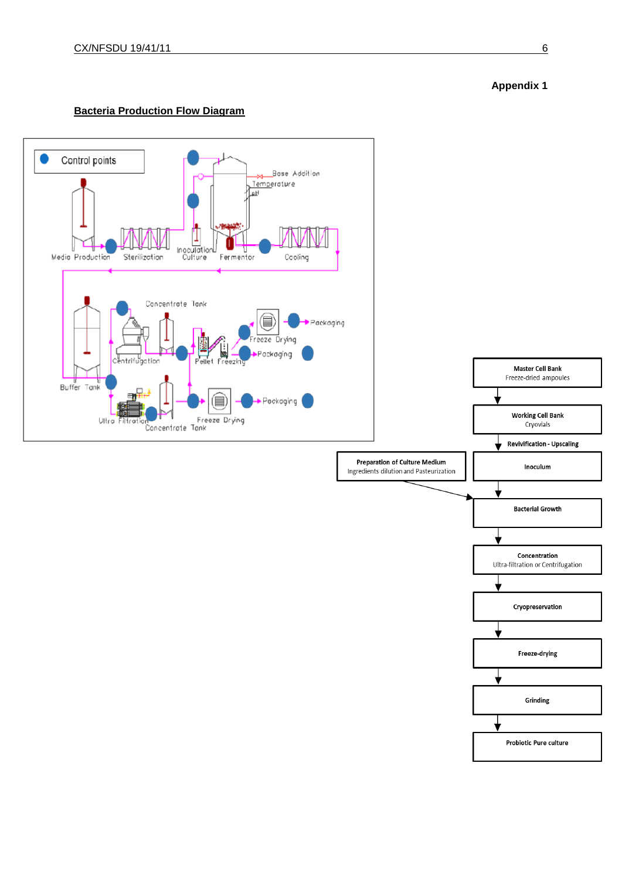

# **Bacteria Production Flow Diagram**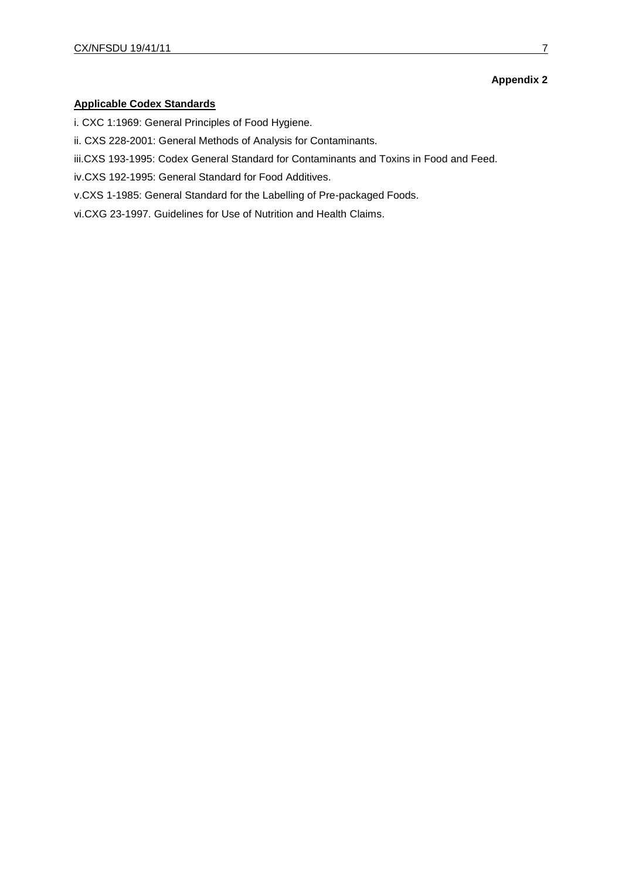## **Applicable Codex Standards**

- i. CXC 1:1969: General Principles of Food Hygiene.
- ii. CXS 228-2001: General Methods of Analysis for Contaminants.
- iii.CXS 193-1995: Codex General Standard for Contaminants and Toxins in Food and Feed.
- iv.CXS 192-1995: General Standard for Food Additives.
- v.CXS 1-1985: General Standard for the Labelling of Pre-packaged Foods.
- vi.CXG 23-1997. Guidelines for Use of Nutrition and Health Claims.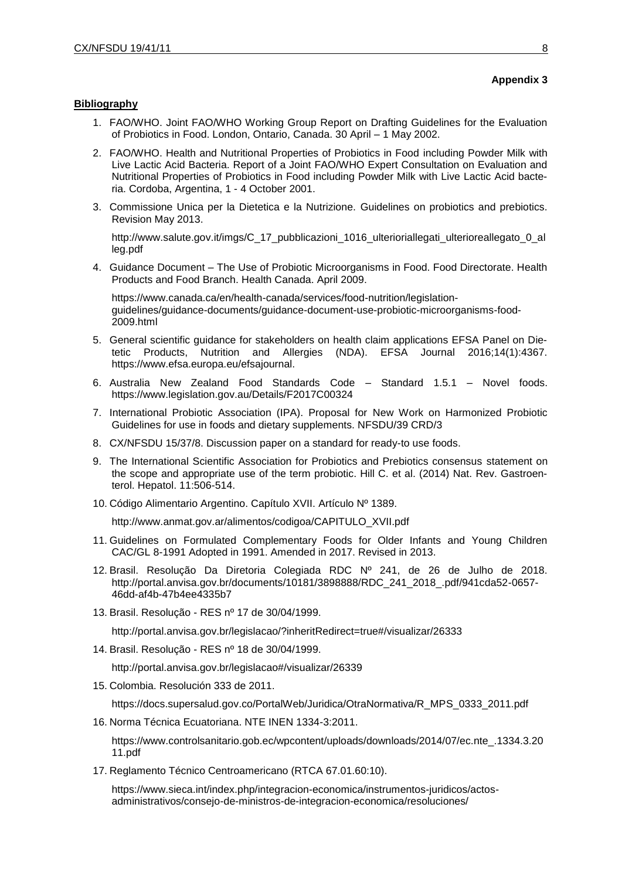## **Bibliography**

- 1. FAO/WHO. Joint FAO/WHO Working Group Report on Drafting Guidelines for the Evaluation of Probiotics in Food. London, Ontario, Canada. 30 April – 1 May 2002.
- 2. FAO/WHO. Health and Nutritional Properties of Probiotics in Food including Powder Milk with Live Lactic Acid Bacteria. Report of a Joint FAO/WHO Expert Consultation on Evaluation and Nutritional Properties of Probiotics in Food including Powder Milk with Live Lactic Acid bacteria. Cordoba, Argentina, 1 - 4 October 2001.
- 3. Commissione Unica per la Dietetica e la Nutrizione. Guidelines on probiotics and prebiotics. Revision May 2013.

http://www.salute.gov.it/imgs/C 17 pubblicazioni 1016 ulterioriallegati ulterioreallegato 0 al [leg.pdf](http://www.salute.gov.it/imgs/C_17_pubblicazioni_1016_ulterioriallegati_ulterioreallegato_0_alleg.pdf)

4. Guidance Document – The Use of Probiotic Microorganisms in Food. Food Directorate. Health Products and Food Branch. Health Canada. April 2009.

[https://www.canada.ca/en/health-canada/services/food-nutrition/legislation](https://www.canada.ca/en/health-canada/services/food-nutrition/legislation-guidelines/guidance-documents/guidance-document-use-probiotic-microorganisms-food-2009.html)[guidelines/guidance-documents/guidance-document-use-probiotic-microorganisms-food-](https://www.canada.ca/en/health-canada/services/food-nutrition/legislation-guidelines/guidance-documents/guidance-document-use-probiotic-microorganisms-food-2009.html)[2009.html](https://www.canada.ca/en/health-canada/services/food-nutrition/legislation-guidelines/guidance-documents/guidance-document-use-probiotic-microorganisms-food-2009.html)

- 5. General scientific guidance for stakeholders on health claim applications EFSA Panel on Dietetic Products, Nutrition and Allergies (NDA). EFSA Journal 2016;14(1):4367. https:/[/www.efsa.europa.eu/efsajournal.](http://www.efsa.europa.eu/efsajournal)
- 6. Australia New Zealand Food Standards Code Standard 1.5.1 Novel foods. https://www.legislation.gov.au/Details/F2017C00324
- 7. International Probiotic Association (IPA). Proposal for New Work on Harmonized Probiotic Guidelines for use in foods and dietary supplements. NFSDU/39 CRD/3
- 8. CX/NFSDU 15/37/8. Discussion paper on a standard for ready-to use foods.
- 9. The International Scientific Association for Probiotics and Prebiotics consensus statement on the scope and appropriate use of the term probiotic. Hill C. et al. (2014) Nat. Rev. Gastroenterol. Hepatol. 11:506-514.
- 10. Código Alimentario Argentino. Capítulo XVII. Artículo Nº 1389.

[http://www.anmat.gov.ar/alimentos/codigoa/CAPITULO\\_XVII.pdf](http://www.anmat.gov.ar/alimentos/codigoa/CAPITULO_XVII.pdf)

- 11. Guidelines on Formulated Complementary Foods for Older Infants and Young Children CAC/GL 8-1991 Adopted in 1991. Amended in 2017. Revised in 2013.
- 12. Brasil. Resolução Da Diretoria Colegiada RDC Nº 241, de 26 de Julho de 2018. http://portal.anvisa.gov.br/documents/10181/3898888/RDC\_241\_2018\_.pdf/941cda52-0657- 46dd-af4b-47b4ee4335b7
- 13. Brasil. Resolução RES nº 17 de 30/04/1999.

<http://portal.anvisa.gov.br/legislacao/?inheritRedirect=true#/visualizar/26333>

14. Brasil. Resolução - RES nº 18 de 30/04/1999.

<http://portal.anvisa.gov.br/legislacao#/visualizar/26339>

15. Colombia. Resolución 333 de 2011.

[https://docs.supersalud.gov.co/PortalWeb/Juridica/OtraNormativa/R\\_MPS\\_0333\\_2011.pdf](https://docs.supersalud.gov.co/PortalWeb/Juridica/OtraNormativa/R_MPS_0333_2011.pdf)

16. Norma Técnica Ecuatoriana. NTE INEN 1334-3:2011.

https://www.controlsanitario.gob.ec/wpcontent/uploads/downloads/2014/07/ec.nte\_.1334.3.20 11.pdf

17. Reglamento Técnico Centroamericano (RTCA 67.01.60:10).

https://www.sieca.int/index.php/integracion-economica/instrumentos-juridicos/actosadministrativos/consejo-de-ministros-de-integracion-economica/resoluciones/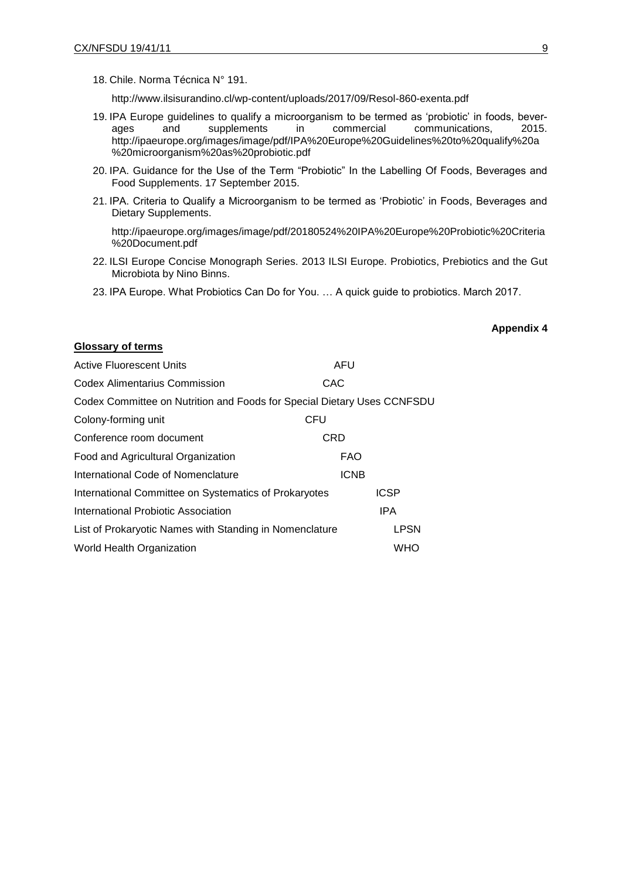**Glossary of terms** 

18. Chile. Norma Técnica N° 191.

http://www.ilsisurandino.cl/wp-content/uploads/2017/09/Resol-860-exenta.pdf

- 19. IPA Europe guidelines to qualify a microorganism to be termed as 'probiotic' in foods, beverages and supplements in commercial communications, 2015. http://ipaeurope.org/images/image/pdf/IPA%20Europe%20Guidelines%20to%20qualify%20a %20microorganism%20as%20probiotic.pdf
- 20. IPA. Guidance for the Use of the Term "Probiotic" In the Labelling Of Foods, Beverages and Food Supplements. 17 September 2015.
- 21. IPA. Criteria to Qualify a Microorganism to be termed as 'Probiotic' in Foods, Beverages and Dietary Supplements.

[http://ipaeurope.org/images/image/pdf/20180524%20IPA%20Europe%20Probiotic%20Criteria](http://ipaeurope.org/images/image/pdf/20180524%20IPA%20Europe%20Probiotic%20Criteria%20Document.pdf) [%20Document.pdf](http://ipaeurope.org/images/image/pdf/20180524%20IPA%20Europe%20Probiotic%20Criteria%20Document.pdf)

- 22. ILSI Europe Concise Monograph Series. 2013 ILSI Europe. Probiotics, Prebiotics and the Gut Microbiota by Nino Binns.
- 23. IPA Europe. What Probiotics Can Do for You. … A quick guide to probiotics. March 2017.

### **Appendix 4**

| <b>Active Fluorescent Units</b>                                         | AFU         |             |
|-------------------------------------------------------------------------|-------------|-------------|
| <b>Codex Alimentarius Commission</b>                                    | CAC         |             |
| Codex Committee on Nutrition and Foods for Special Dietary Uses CCNFSDU |             |             |
| Colony-forming unit                                                     | CFU         |             |
| Conference room document                                                | <b>CRD</b>  |             |
| Food and Agricultural Organization                                      | <b>FAO</b>  |             |
| International Code of Nomenclature                                      | <b>ICNB</b> |             |
| International Committee on Systematics of Prokaryotes                   |             | <b>ICSP</b> |
| International Probiotic Association                                     |             | <b>IPA</b>  |
| List of Prokaryotic Names with Standing in Nomenclature                 |             | <b>LPSN</b> |
| World Health Organization                                               |             | WHO         |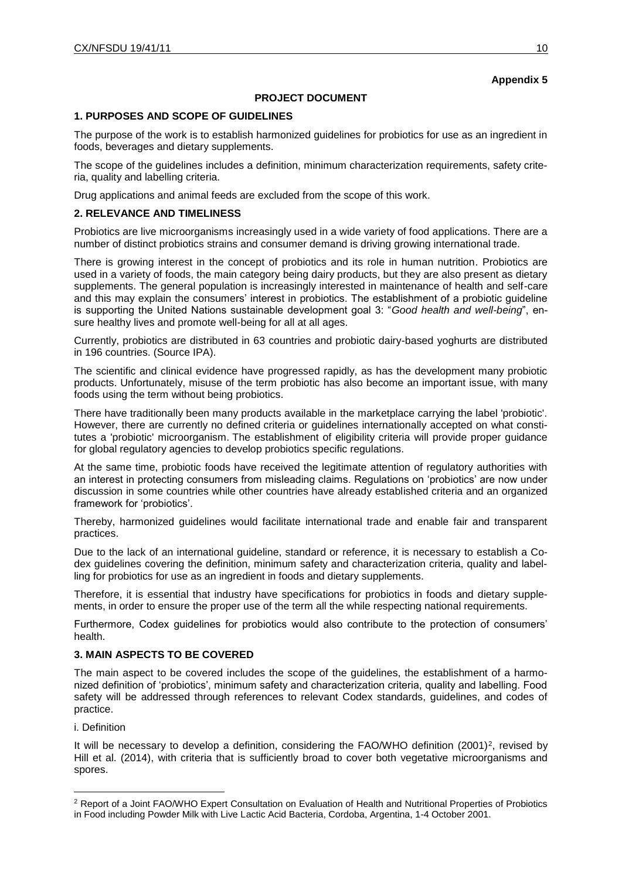## **PROJECT DOCUMENT**

### **1. PURPOSES AND SCOPE OF GUIDELINES**

The purpose of the work is to establish harmonized guidelines for probiotics for use as an ingredient in foods, beverages and dietary supplements.

The scope of the guidelines includes a definition, minimum characterization requirements, safety criteria, quality and labelling criteria.

Drug applications and animal feeds are excluded from the scope of this work.

### **2. RELEVANCE AND TIMELINESS**

Probiotics are live microorganisms increasingly used in a wide variety of food applications. There are a number of distinct probiotics strains and consumer demand is driving growing international trade.

There is growing interest in the concept of probiotics and its role in human nutrition. Probiotics are used in a variety of foods, the main category being dairy products, but they are also present as dietary supplements. The general population is increasingly interested in maintenance of health and self-care and this may explain the consumers' interest in probiotics. The establishment of a probiotic guideline is supporting the United Nations sustainable development goal 3: "*Good health and well-being*", ensure healthy lives and promote well-being for all at all ages.

Currently, probiotics are distributed in 63 countries and probiotic dairy-based yoghurts are distributed in 196 countries. (Source IPA).

The scientific and clinical evidence have progressed rapidly, as has the development many probiotic products. Unfortunately, misuse of the term probiotic has also become an important issue, with many foods using the term without being probiotics.

There have traditionally been many products available in the marketplace carrying the label 'probiotic'. However, there are currently no defined criteria or guidelines internationally accepted on what constitutes a 'probiotic' microorganism. The establishment of eligibility criteria will provide proper guidance for global regulatory agencies to develop probiotics specific regulations.

At the same time, probiotic foods have received the legitimate attention of regulatory authorities with an interest in protecting consumers from misleading claims. Regulations on 'probiotics' are now under discussion in some countries while other countries have already established criteria and an organized framework for 'probiotics'.

Thereby, harmonized guidelines would facilitate international trade and enable fair and transparent practices.

Due to the lack of an international guideline, standard or reference, it is necessary to establish a Codex guidelines covering the definition, minimum safety and characterization criteria, quality and labelling for probiotics for use as an ingredient in foods and dietary supplements.

Therefore, it is essential that industry have specifications for probiotics in foods and dietary supplements, in order to ensure the proper use of the term all the while respecting national requirements.

Furthermore, Codex guidelines for probiotics would also contribute to the protection of consumers' health.

### **3. MAIN ASPECTS TO BE COVERED**

The main aspect to be covered includes the scope of the guidelines, the establishment of a harmonized definition of 'probiotics', minimum safety and characterization criteria, quality and labelling. Food safety will be addressed through references to relevant Codex standards, guidelines, and codes of practice.

i. Definition

 $\overline{a}$ 

It will be necessary to develop a definition, considering the FAO/WHO definition  $(2001)^2$ , revised by Hill et al. (2014), with criteria that is sufficiently broad to cover both vegetative microorganisms and spores.

<sup>2</sup> Report of a Joint FAO/WHO Expert Consultation on Evaluation of Health and Nutritional Properties of Probiotics in Food including Powder Milk with Live Lactic Acid Bacteria, Cordoba, Argentina, 1-4 October 2001.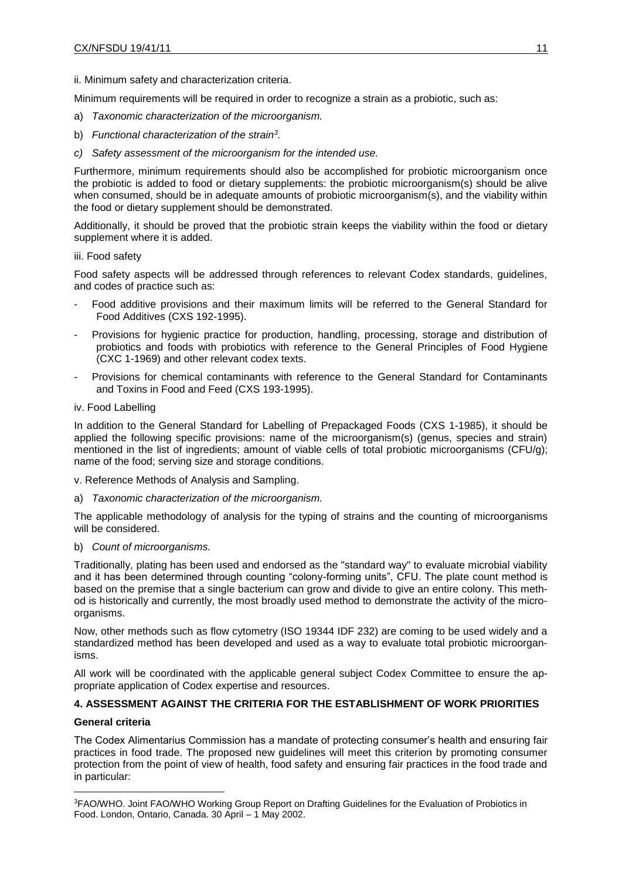ii. Minimum safety and characterization criteria.

Minimum requirements will be required in order to recognize a strain as a probiotic, such as:

- a) *Taxonomic characterization of the microorganism.*
- b) *Functional characterization of the strain<sup>3</sup> .*
- *c) Safety assessment of the microorganism for the intended use.*

Furthermore, minimum requirements should also be accomplished for probiotic microorganism once the probiotic is added to food or dietary supplements: the probiotic microorganism(s) should be alive when consumed, should be in adequate amounts of probiotic microorganism(s), and the viability within the food or dietary supplement should be demonstrated.

Additionally, it should be proved that the probiotic strain keeps the viability within the food or dietary supplement where it is added.

### iii. Food safety

Food safety aspects will be addressed through references to relevant Codex standards, guidelines, and codes of practice such as:

- Food additive provisions and their maximum limits will be referred to the General Standard for Food Additives (CXS 192-1995).
- Provisions for hygienic practice for production, handling, processing, storage and distribution of probiotics and foods with probiotics with reference to the General Principles of Food Hygiene (CXC 1-1969) and other relevant codex texts.
- Provisions for chemical contaminants with reference to the General Standard for Contaminants and Toxins in Food and Feed (CXS 193-1995).

### iv. Food Labelling

In addition to the General Standard for Labelling of Prepackaged Foods (CXS 1-1985), it should be applied the following specific provisions: name of the microorganism(s) (genus, species and strain) mentioned in the list of ingredients; amount of viable cells of total probiotic microorganisms (CFU/g); name of the food; serving size and storage conditions.

v. Reference Methods of Analysis and Sampling.

a) *Taxonomic characterization of the microorganism.*

The applicable methodology of analysis for the typing of strains and the counting of microorganisms will be considered.

## b) *Count of microorganisms.*

Traditionally, plating has been used and endorsed as the "standard way" to evaluate microbial viability and it has been determined through counting "colony-forming units", CFU. The plate count method is based on the premise that a single bacterium can grow and divide to give an entire colony. This method is historically and currently, the most broadly used method to demonstrate the activity of the microorganisms.

Now, other methods such as flow cytometry (ISO 19344 IDF 232) are coming to be used widely and a standardized method has been developed and used as a way to evaluate total probiotic microorganisms.

All work will be coordinated with the applicable general subject Codex Committee to ensure the appropriate application of Codex expertise and resources.

## **4. ASSESSMENT AGAINST THE CRITERIA FOR THE ESTABLISHMENT OF WORK PRIORITIES**

### **General criteria**

 $\overline{a}$ 

The Codex Alimentarius Commission has a mandate of protecting consumer's health and ensuring fair practices in food trade. The proposed new guidelines will meet this criterion by promoting consumer protection from the point of view of health, food safety and ensuring fair practices in the food trade and in particular:

<sup>3</sup>FAO/WHO. Joint FAO/WHO Working Group Report on Drafting Guidelines for the Evaluation of Probiotics in Food. London, Ontario, Canada. 30 April – 1 May 2002.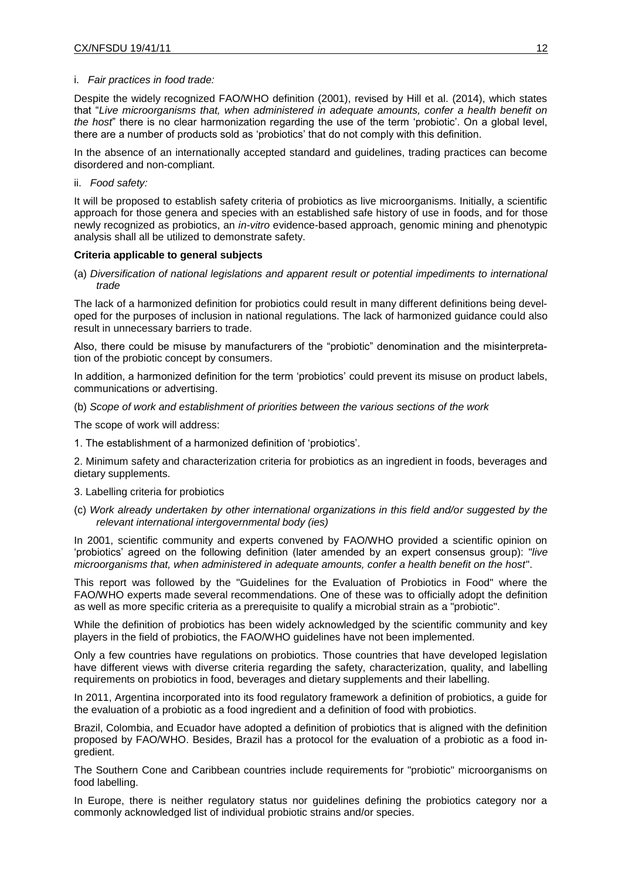#### i. *Fair practices in food trade:*

Despite the widely recognized FAO/WHO definition (2001), revised by Hill et al. (2014), which states that "*Live microorganisms that, when administered in adequate amounts, confer a health benefit on the host*" there is no clear harmonization regarding the use of the term 'probiotic'. On a global level, there are a number of products sold as 'probiotics' that do not comply with this definition.

In the absence of an internationally accepted standard and guidelines, trading practices can become disordered and non-compliant.

ii. *Food safety:*

It will be proposed to establish safety criteria of probiotics as live microorganisms. Initially, a scientific approach for those genera and species with an established safe history of use in foods, and for those newly recognized as probiotics, an *in-vitro* evidence-based approach, genomic mining and phenotypic analysis shall all be utilized to demonstrate safety.

#### **Criteria applicable to general subjects**

(a) *Diversification of national legislations and apparent result or potential impediments to international trade*

The lack of a harmonized definition for probiotics could result in many different definitions being developed for the purposes of inclusion in national regulations. The lack of harmonized guidance could also result in unnecessary barriers to trade.

Also, there could be misuse by manufacturers of the "probiotic" denomination and the misinterpretation of the probiotic concept by consumers.

In addition, a harmonized definition for the term 'probiotics' could prevent its misuse on product labels, communications or advertising.

(b) *Scope of work and establishment of priorities between the various sections of the work*

The scope of work will address:

1. The establishment of a harmonized definition of 'probiotics'.

2. Minimum safety and characterization criteria for probiotics as an ingredient in foods, beverages and dietary supplements.

- 3. Labelling criteria for probiotics
- (c) *Work already undertaken by other international organizations in this field and/or suggested by the relevant international intergovernmental body (ies)*

In 2001, scientific community and experts convened by FAO/WHO provided a scientific opinion on 'probiotics' agreed on the following definition (later amended by an expert consensus group): "*live microorganisms that, when administered in adequate amounts, confer a health benefit on the host*".

This report was followed by the "Guidelines for the Evaluation of Probiotics in Food" where the FAO/WHO experts made several recommendations. One of these was to officially adopt the definition as well as more specific criteria as a prerequisite to qualify a microbial strain as a "probiotic".

While the definition of probiotics has been widely acknowledged by the scientific community and key players in the field of probiotics, the FAO/WHO guidelines have not been implemented.

Only a few countries have regulations on probiotics. Those countries that have developed legislation have different views with diverse criteria regarding the safety, characterization, quality, and labelling requirements on probiotics in food, beverages and dietary supplements and their labelling.

In 2011, Argentina incorporated into its food regulatory framework a definition of probiotics, a guide for the evaluation of a probiotic as a food ingredient and a definition of food with probiotics.

Brazil, Colombia, and Ecuador have adopted a definition of probiotics that is aligned with the definition proposed by FAO/WHO. Besides, Brazil has a protocol for the evaluation of a probiotic as a food ingredient.

The Southern Cone and Caribbean countries include requirements for "probiotic" microorganisms on food labelling.

In Europe, there is neither regulatory status nor guidelines defining the probiotics category nor a commonly acknowledged list of individual probiotic strains and/or species.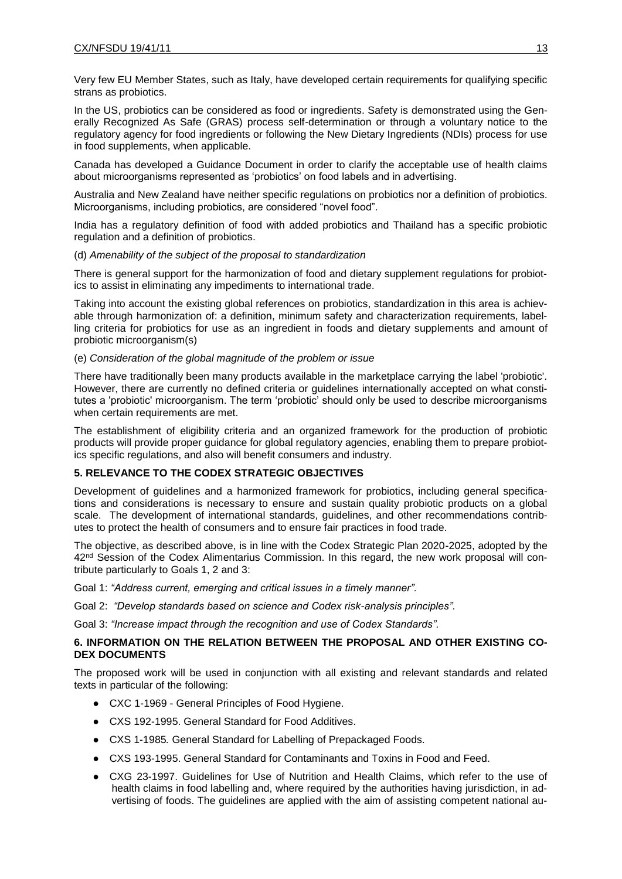Very few EU Member States, such as Italy, have developed certain requirements for qualifying specific strans as probiotics.

In the US, probiotics can be considered as food or ingredients. Safety is demonstrated using the Generally Recognized As Safe (GRAS) process self-determination or through a voluntary notice to the regulatory agency for food ingredients or following the New Dietary Ingredients (NDIs) process for use in food supplements, when applicable.

Canada has developed a Guidance Document in order to clarify the acceptable use of health claims about microorganisms represented as 'probiotics' on food labels and in advertising.

Australia and New Zealand have neither specific regulations on probiotics nor a definition of probiotics. Microorganisms, including probiotics, are considered "novel food".

India has a regulatory definition of food with added probiotics and Thailand has a specific probiotic regulation and a definition of probiotics.

#### (d) *Amenability of the subject of the proposal to standardization*

There is general support for the harmonization of food and dietary supplement regulations for probiotics to assist in eliminating any impediments to international trade.

Taking into account the existing global references on probiotics, standardization in this area is achievable through harmonization of: a definition, minimum safety and characterization requirements, labelling criteria for probiotics for use as an ingredient in foods and dietary supplements and amount of probiotic microorganism(s)

#### (e) *Consideration of the global magnitude of the problem or issue*

There have traditionally been many products available in the marketplace carrying the label 'probiotic'. However, there are currently no defined criteria or guidelines internationally accepted on what constitutes a 'probiotic' microorganism. The term 'probiotic' should only be used to describe microorganisms when certain requirements are met.

The establishment of eligibility criteria and an organized framework for the production of probiotic products will provide proper guidance for global regulatory agencies, enabling them to prepare probiotics specific regulations, and also will benefit consumers and industry.

## **5. RELEVANCE TO THE CODEX STRATEGIC OBJECTIVES**

Development of guidelines and a harmonized framework for probiotics, including general specifications and considerations is necessary to ensure and sustain quality probiotic products on a global scale. The development of international standards, guidelines, and other recommendations contributes to protect the health of consumers and to ensure fair practices in food trade.

The objective, as described above, is in line with the Codex Strategic Plan 2020-2025, adopted by the 42<sup>nd</sup> Session of the Codex Alimentarius Commission. In this regard, the new work proposal will contribute particularly to Goals 1, 2 and 3:

Goal 1: *"Address current, emerging and critical issues in a timely manner".*

Goal 2: *"Develop standards based on science and Codex risk-analysis principles".*

Goal 3: *"Increase impact through the recognition and use of Codex Standards".*

### **6. INFORMATION ON THE RELATION BETWEEN THE PROPOSAL AND OTHER EXISTING CO-DEX DOCUMENTS**

The proposed work will be used in conjunction with all existing and relevant standards and related texts in particular of the following:

- CXC 1-1969 General Principles of Food Hygiene.
- CXS 192-1995. General Standard for Food Additives.
- CXS 1-1985*.* General Standard for Labelling of Prepackaged Foods*.*
- CXS 193-1995. General Standard for Contaminants and Toxins in Food and Feed.
- CXG 23-1997. Guidelines for Use of Nutrition and Health Claims, which refer to the use of health claims in food labelling and, where required by the authorities having jurisdiction, in advertising of foods. The guidelines are applied with the aim of assisting competent national au-